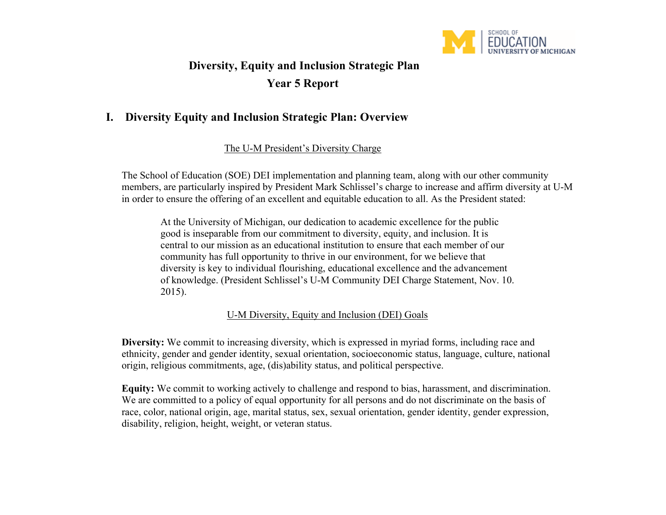

# **Diversity, Equity and Inclusion Strategic Plan Year 5 Report**

# **I. Diversity Equity and Inclusion Strategic Plan: Overview**

The U-M President's Diversity Charge

The School of Education (SOE) DEI implementation and planning team, along with our other community members, are particularly inspired by President Mark Schlissel's charge to increase and affirm diversity at U-M in order to ensure the offering of an excellent and equitable education to all. As the President stated:

At the University of Michigan, our dedication to academic excellence for the public good is inseparable from our commitment to diversity, equity, and inclusion. It is central to our mission as an educational institution to ensure that each member of our community has full opportunity to thrive in our environment, for we believe that diversity is key to individual flourishing, educational excellence and the advancement of knowledge. (President Schlissel's U-M Community DEI Charge Statement, Nov. 10. 2015).

U-M Diversity, Equity and Inclusion (DEI) Goals

**Diversity:** We commit to increasing diversity, which is expressed in myriad forms, including race and ethnicity, gender and gender identity, sexual orientation, socioeconomic status, language, culture, national origin, religious commitments, age, (dis)ability status, and political perspective.

**Equity:** We commit to working actively to challenge and respond to bias, harassment, and discrimination. We are committed to a policy of equal opportunity for all persons and do not discriminate on the basis of race, color, national origin, age, marital status, sex, sexual orientation, gender identity, gender expression, disability, religion, height, weight, or veteran status.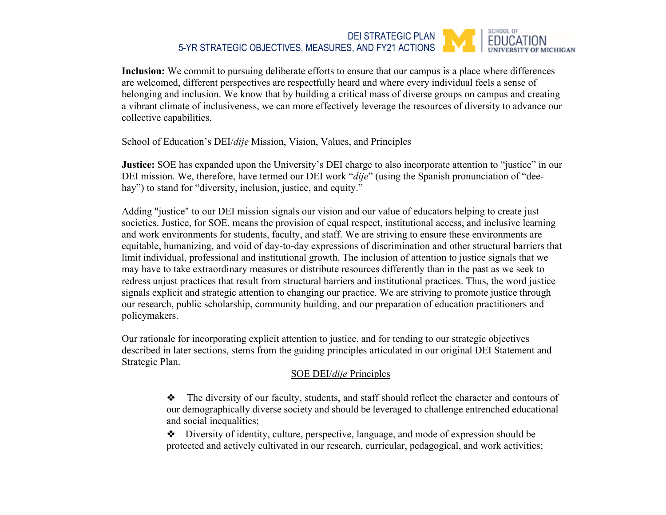#### SCHOOL OF DEI STRATEGIC PLAN **EDUCATION** 5-YR STRATEGIC OBJECTIVES, MEASURES, AND FY21 ACTIONS **FMICHIGAN**

**Inclusion:** We commit to pursuing deliberate efforts to ensure that our campus is a place where differences are welcomed, different perspectives are respectfully heard and where every individual feels a sense of belonging and inclusion. We know that by building a critical mass of diverse groups on campus and creating a vibrant climate of inclusiveness, we can more effectively leverage the resources of diversity to advance our collective capabilities.

School of Education's DEI/*dije* Mission, Vision, Values, and Principles

**Justice:** SOE has expanded upon the University's DEI charge to also incorporate attention to "justice" in our DEI mission. We, therefore, have termed our DEI work "*dije*" (using the Spanish pronunciation of "deehay") to stand for "diversity, inclusion, justice, and equity."

Adding "justice" to our DEI mission signals our vision and our value of educators helping to create just societies. Justice, for SOE, means the provision of equal respect, institutional access, and inclusive learning and work environments for students, faculty, and staff. We are striving to ensure these environments are equitable, humanizing, and void of day-to-day expressions of discrimination and other structural barriers that limit individual, professional and institutional growth. The inclusion of attention to justice signals that we may have to take extraordinary measures or distribute resources differently than in the past as we seek to redress unjust practices that result from structural barriers and institutional practices. Thus, the word justice signals explicit and strategic attention to changing our practice. We are striving to promote justice through our research, public scholarship, community building, and our preparation of education practitioners and policymakers.

Our rationale for incorporating explicit attention to justice, and for tending to our strategic objectives described in later sections, stems from the guiding principles articulated in our original DEI Statement and Strategic Plan.

## SOE DEI/*dije* Principles

❖ The diversity of our faculty, students, and staff should reflect the character and contours of our demographically diverse society and should be leveraged to challenge entrenched educational and social inequalities;

❖ Diversity of identity, culture, perspective, language, and mode of expression should be protected and actively cultivated in our research, curricular, pedagogical, and work activities;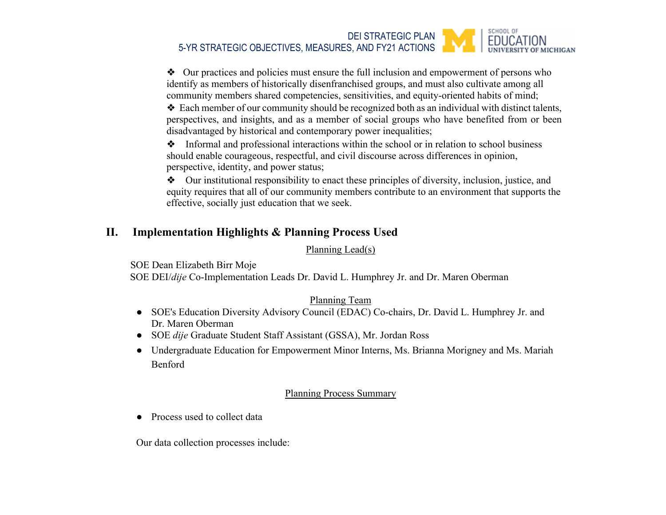#### SCHOOL OF DEI STRATEGIC PLAN **EDUCATION** 5-YR STRATEGIC OBJECTIVES, MEASURES, AND FY21 ACTIONS

❖ Our practices and policies must ensure the full inclusion and empowerment of persons who identify as members of historically disenfranchised groups, and must also cultivate among all community members shared competencies, sensitivities, and equity-oriented habits of mind;

❖ Each member of our community should be recognized both as an individual with distinct talents, perspectives, and insights, and as a member of social groups who have benefited from or been disadvantaged by historical and contemporary power inequalities;

❖ Informal and professional interactions within the school or in relation to school business should enable courageous, respectful, and civil discourse across differences in opinion, perspective, identity, and power status;

❖ Our institutional responsibility to enact these principles of diversity, inclusion, justice, and equity requires that all of our community members contribute to an environment that supports the effective, socially just education that we seek.

# **II. Implementation Highlights & Planning Process Used**

Planning Lead(s)

SOE Dean Elizabeth Birr Moje

SOE DEI/*dije* Co-Implementation Leads Dr. David L. Humphrey Jr. and Dr. Maren Oberman

## Planning Team

- SOE's Education Diversity Advisory Council (EDAC) Co-chairs, Dr. David L. Humphrey Jr. and Dr. Maren Oberman
- SOE *dije* Graduate Student Staff Assistant (GSSA), Mr. Jordan Ross
- Undergraduate Education for Empowerment Minor Interns, Ms. Brianna Morigney and Ms. Mariah Benford

## Planning Process Summary

● Process used to collect data

Our data collection processes include: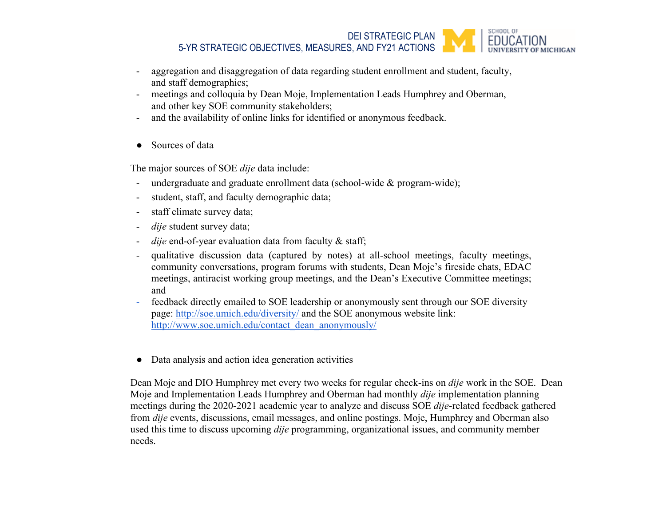

- aggregation and disaggregation of data regarding student enrollment and student, faculty, and staff demographics;
- meetings and colloquia by Dean Moje, Implementation Leads Humphrey and Oberman, and other key SOE community stakeholders;
- and the availability of online links for identified or anonymous feedback.
- Sources of data

The major sources of SOE *dije* data include:

- undergraduate and graduate enrollment data (school-wide & program-wide);
- student, staff, and faculty demographic data;
- staff climate survey data;
- dije student survey data;
- dije end-of-year evaluation data from faculty & staff;
- qualitative discussion data (captured by notes) at all-school meetings, faculty meetings, community conversations, program forums with students, Dean Moje's fireside chats, EDAC meetings, antiracist working group meetings, and the Dean's Executive Committee meetings; and
- feedback directly emailed to SOE leadership or anonymously sent through our SOE diversity page[:](http://soe.umich.edu/diversity/) <http://soe.umich.edu/diversity/> and the SOE anonymous website link: [http://www.soe.umich.edu/contact\\_dean\\_anonymously/](http://www.soe.umich.edu/contact_dean_anonymously/)
- Data analysis and action idea generation activities

Dean Moje and DIO Humphrey met every two weeks for regular check-ins on *dije* work in the SOE. Dean Moje and Implementation Leads Humphrey and Oberman had monthly *dije* implementation planning meetings during the 2020-2021 academic year to analyze and discuss SOE *dije*-related feedback gathered from *dije* events, discussions, email messages, and online postings. Moje, Humphrey and Oberman also used this time to discuss upcoming *dije* programming, organizational issues, and community member needs.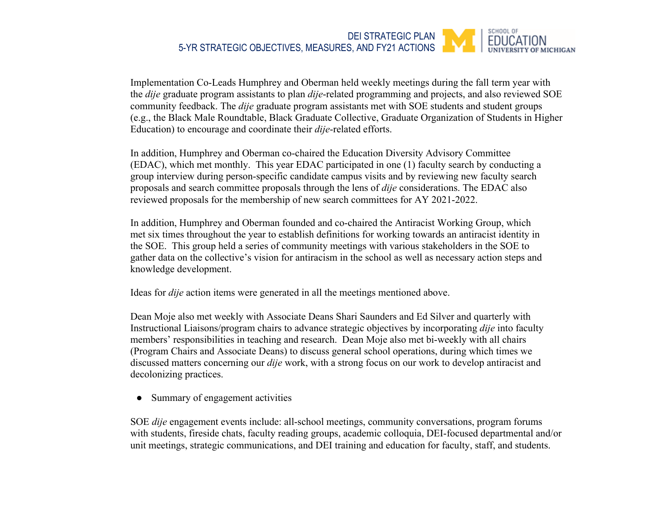#### SCHOOL OF DEI STRATEGIC PLAN 5-YR STRATEGIC OBJECTIVES, MEASURES, AND FY21 ACTIONS **MICHIGAN**

Implementation Co-Leads Humphrey and Oberman held weekly meetings during the fall term year with the *dije* graduate program assistants to plan *dije*-related programming and projects, and also reviewed SOE community feedback. The *dije* graduate program assistants met with SOE students and student groups (e.g., the Black Male Roundtable, Black Graduate Collective, Graduate Organization of Students in Higher Education) to encourage and coordinate their *dije*-related efforts.

In addition, Humphrey and Oberman co-chaired the Education Diversity Advisory Committee (EDAC), which met monthly. This year EDAC participated in one (1) faculty search by conducting a group interview during person-specific candidate campus visits and by reviewing new faculty search proposals and search committee proposals through the lens of *dije* considerations. The EDAC also reviewed proposals for the membership of new search committees for AY 2021-2022.

In addition, Humphrey and Oberman founded and co-chaired the Antiracist Working Group, which met six times throughout the year to establish definitions for working towards an antiracist identity in the SOE. This group held a series of community meetings with various stakeholders in the SOE to gather data on the collective's vision for antiracism in the school as well as necessary action steps and knowledge development.

Ideas for *dije* action items were generated in all the meetings mentioned above.

Dean Moje also met weekly with Associate Deans Shari Saunders and Ed Silver and quarterly with Instructional Liaisons/program chairs to advance strategic objectives by incorporating *dije* into faculty members' responsibilities in teaching and research. Dean Moje also met bi-weekly with all chairs (Program Chairs and Associate Deans) to discuss general school operations, during which times we discussed matters concerning our *dije* work, with a strong focus on our work to develop antiracist and decolonizing practices.

• Summary of engagement activities

SOE *dije* engagement events include: all-school meetings, community conversations, program forums with students, fireside chats, faculty reading groups, academic colloquia, DEI-focused departmental and/or unit meetings, strategic communications, and DEI training and education for faculty, staff, and students.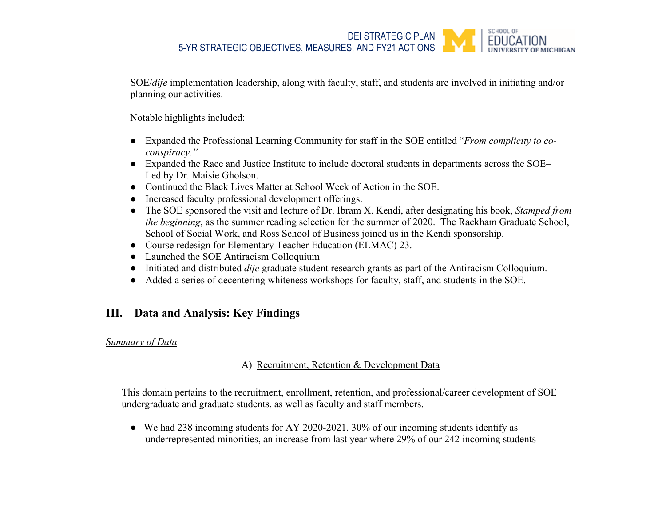SCHOOL OF DEI STRATEGIC PLAN 5-YR STRATEGIC OBJECTIVES, MEASURES, AND FY21 ACTIONS

SOE/*dije* implementation leadership, along with faculty, staff, and students are involved in initiating and/or planning our activities.

Notable highlights included:

- Expanded the Professional Learning Community for staff in the SOE entitled "*From complicity to coconspiracy."*
- Expanded the Race and Justice Institute to include doctoral students in departments across the SOE– Led by Dr. Maisie Gholson.
- Continued the Black Lives Matter at School Week of Action in the SOE.
- Increased faculty professional development offerings.
- The SOE sponsored the visit and lecture of Dr. Ibram X. Kendi, after designating his book, *Stamped from the beginning*, as the summer reading selection for the summer of 2020. The Rackham Graduate School, School of Social Work, and Ross School of Business joined us in the Kendi sponsorship.
- Course redesign for Elementary Teacher Education (ELMAC) 23.
- Launched the SOE Antiracism Colloquium
- Initiated and distributed *dije* graduate student research grants as part of the Antiracism Colloquium.
- Added a series of decentering whiteness workshops for faculty, staff, and students in the SOE.

# **III. Data and Analysis: Key Findings**

### *Summary of Data*

## A) Recruitment, Retention & Development Data

This domain pertains to the recruitment, enrollment, retention, and professional/career development of SOE undergraduate and graduate students, as well as faculty and staff members.

● We had 238 incoming students for AY 2020-2021. 30% of our incoming students identify as underrepresented minorities, an increase from last year where 29% of our 242 incoming students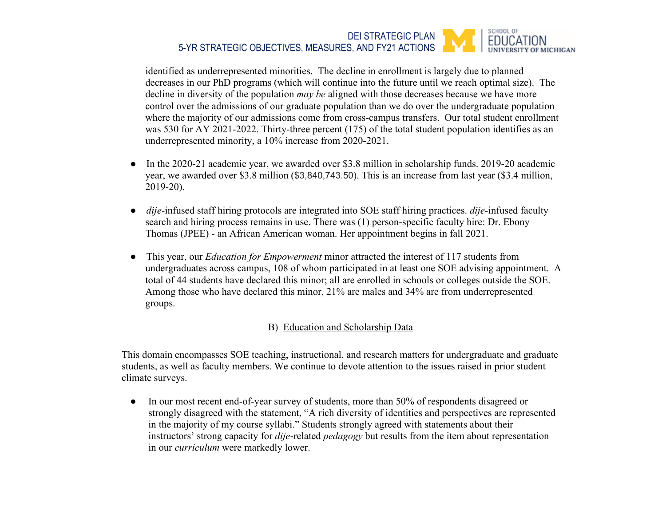#### SCHOOL OF DEI STRATEGIC PLAN **EDUCATION** 5-YR STRATEGIC OBJECTIVES, MEASURES, AND FY21 ACTIONS **MICHIGAN**

identified as underrepresented minorities. The decline in enrollment is largely due to planned decreases in our PhD programs (which will continue into the future until we reach optimal size). The decline in diversity of the population *may be* aligned with those decreases because we have more control over the admissions of our graduate population than we do over the undergraduate population where the majority of our admissions come from cross-campus transfers. Our total student enrollment was 530 for AY 2021-2022. Thirty-three percent (175) of the total student population identifies as an underrepresented minority, a 10% increase from 2020-2021.

- In the 2020-21 academic year, we awarded over \$3.8 million in scholarship funds. 2019-20 academic year, we awarded over \$3.8 million (\$3,840,743.50). This is an increase from last year (\$3.4 million, 2019-20).
- *dije*-infused staff hiring protocols are integrated into SOE staff hiring practices. *dije-*infused faculty search and hiring process remains in use. There was (1) person-specific faculty hire: Dr. Ebony Thomas (JPEE) - an African American woman. Her appointment begins in fall 2021.
- This year, our *Education for Empowerment* minor attracted the interest of 117 students from undergraduates across campus, 108 of whom participated in at least one SOE advising appointment. A total of 44 students have declared this minor; all are enrolled in schools or colleges outside the SOE. Among those who have declared this minor, 21% are males and 34% are from underrepresented groups.

## B) Education and Scholarship Data

This domain encompasses SOE teaching, instructional, and research matters for undergraduate and graduate students, as well as faculty members. We continue to devote attention to the issues raised in prior student climate surveys.

• In our most recent end-of-year survey of students, more than 50% of respondents disagreed or strongly disagreed with the statement, "A rich diversity of identities and perspectives are represented in the majority of my course syllabi." Students strongly agreed with statements about their instructors' strong capacity for *dije*-related *pedagogy* but results from the item about representation in our *curriculum* were markedly lower.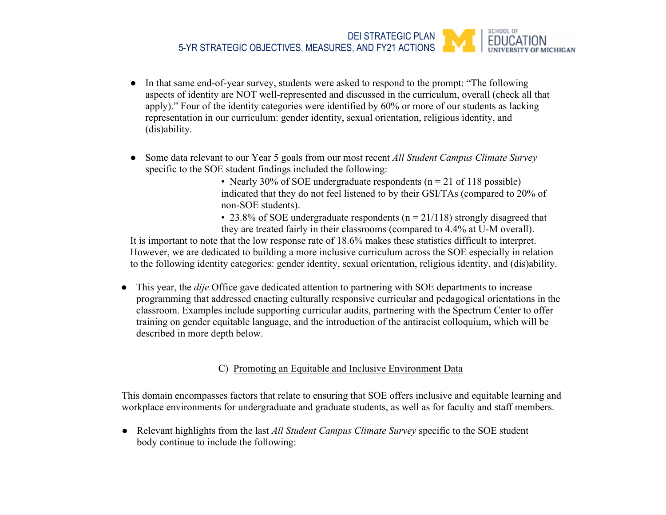#### SCHOOL OF DEI STRATEGIC PLAN 5-YR STRATEGIC OBJECTIVES, MEASURES, AND FY21 ACTIONS **MICHIGAN**

- In that same end-of-year survey, students were asked to respond to the prompt: "The following aspects of identity are NOT well-represented and discussed in the curriculum, overall (check all that apply)." Four of the identity categories were identified by 60% or more of our students as lacking representation in our curriculum: gender identity, sexual orientation, religious identity, and (dis)ability.
- Some data relevant to our Year 5 goals from our most recent *All Student Campus Climate Survey* specific to the SOE student findings included the following:
	- Nearly 30% of SOE undergraduate respondents ( $n = 21$  of 118 possible) indicated that they do not feel listened to by their GSI/TAs (compared to 20% of non-SOE students).
	- 23.8% of SOE undergraduate respondents ( $n = 21/118$ ) strongly disagreed that they are treated fairly in their classrooms (compared to 4.4% at U-M overall).

It is important to note that the low response rate of 18.6% makes these statistics difficult to interpret. However, we are dedicated to building a more inclusive curriculum across the SOE especially in relation to the following identity categories: gender identity, sexual orientation, religious identity, and (dis)ability.

● This year, the *dije* Office gave dedicated attention to partnering with SOE departments to increase programming that addressed enacting culturally responsive curricular and pedagogical orientations in the classroom. Examples include supporting curricular audits, partnering with the Spectrum Center to offer training on gender equitable language, and the introduction of the antiracist colloquium, which will be described in more depth below.

### C) Promoting an Equitable and Inclusive Environment Data

This domain encompasses factors that relate to ensuring that SOE offers inclusive and equitable learning and workplace environments for undergraduate and graduate students, as well as for faculty and staff members.

● Relevant highlights from the last *All Student Campus Climate Survey* specific to the SOE student body continue to include the following: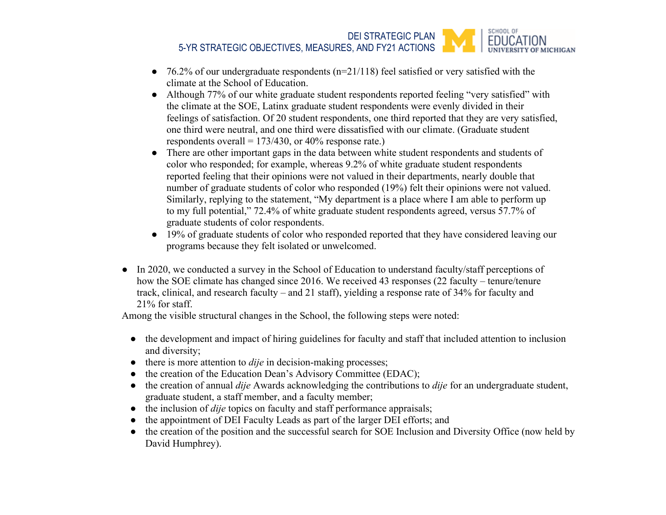SCHOOL OF DEI STRATEGIC PLAN **EDUCATION** 5-YR STRATEGIC OBJECTIVES, MEASURES, AND FY21 ACTIONS **F MICHIGAN** 

- $\bullet$  76.2% of our undergraduate respondents (n=21/118) feel satisfied or very satisfied with the climate at the School of Education.
- Although 77% of our white graduate student respondents reported feeling "very satisfied" with the climate at the SOE, Latinx graduate student respondents were evenly divided in their feelings of satisfaction. Of 20 student respondents, one third reported that they are very satisfied, one third were neutral, and one third were dissatisfied with our climate. (Graduate student respondents overall =  $173/430$ , or  $40\%$  response rate.)
- There are other important gaps in the data between white student respondents and students of color who responded; for example, whereas 9.2% of white graduate student respondents reported feeling that their opinions were not valued in their departments, nearly double that number of graduate students of color who responded (19%) felt their opinions were not valued. Similarly, replying to the statement, "My department is a place where I am able to perform up to my full potential," 72.4% of white graduate student respondents agreed, versus 57.7% of graduate students of color respondents.
- 19% of graduate students of color who responded reported that they have considered leaving our programs because they felt isolated or unwelcomed.
- In 2020, we conducted a survey in the School of Education to understand faculty/staff perceptions of how the SOE climate has changed since 2016. We received 43 responses (22 faculty – tenure/tenure track, clinical, and research faculty – and 21 staff), yielding a response rate of 34% for faculty and 21% for staff.

Among the visible structural changes in the School, the following steps were noted:

- the development and impact of hiring guidelines for faculty and staff that included attention to inclusion and diversity;
- there is more attention to *dije* in decision-making processes;
- the creation of the Education Dean's Advisory Committee (EDAC);
- the creation of annual *dije* Awards acknowledging the contributions to *dije* for an undergraduate student, graduate student, a staff member, and a faculty member;
- the inclusion of *dije* topics on faculty and staff performance appraisals;
- the appointment of DEI Faculty Leads as part of the larger DEI efforts; and
- the creation of the position and the successful search for SOE Inclusion and Diversity Office (now held by David Humphrey).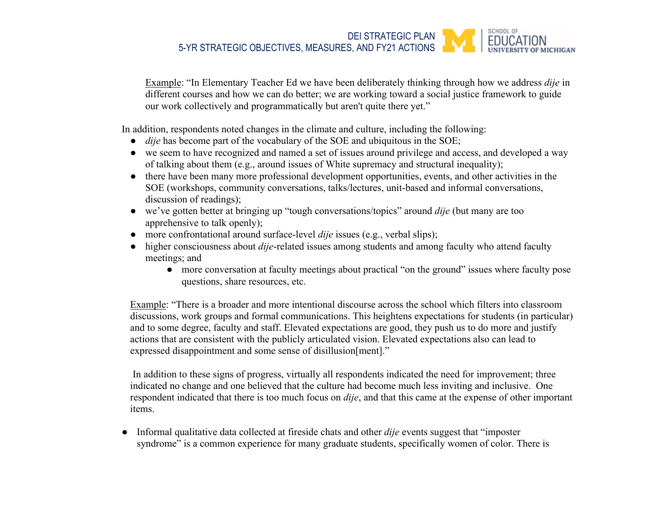#### SCHOOL OF DEI STRATEGIC PLAN 5-YR STRATEGIC OBJECTIVES, MEASURES, AND FY21 ACTIONS **MICHIGAN**

Example: "In Elementary Teacher Ed we have been deliberately thinking through how we address *dije* in different courses and how we can do better; we are working toward a social justice framework to guide our work collectively and programmatically but aren't quite there yet."

In addition, respondents noted changes in the climate and culture, including the following:

- *dije* has become part of the vocabulary of the SOE and ubiquitous in the SOE;
- we seem to have recognized and named a set of issues around privilege and access, and developed a way of talking about them (e.g., around issues of White supremacy and structural inequality);
- there have been many more professional development opportunities, events, and other activities in the SOE (workshops, community conversations, talks/lectures, unit-based and informal conversations, discussion of readings);
- we've gotten better at bringing up "tough conversations/topics" around *dije* (but many are too apprehensive to talk openly);
- more confrontational around surface-level *dije* issues (e.g., verbal slips);
- higher consciousness about *dije*-related issues among students and among faculty who attend faculty meetings; and
	- more conversation at faculty meetings about practical "on the ground" issues where faculty pose questions, share resources, etc.

Example: "There is a broader and more intentional discourse across the school which filters into classroom discussions, work groups and formal communications. This heightens expectations for students (in particular) and to some degree, faculty and staff. Elevated expectations are good, they push us to do more and justify actions that are consistent with the publicly articulated vision. Elevated expectations also can lead to expressed disappointment and some sense of disillusion[ment]."

 In addition to these signs of progress, virtually all respondents indicated the need for improvement; three indicated no change and one believed that the culture had become much less inviting and inclusive. One respondent indicated that there is too much focus on *dije*, and that this came at the expense of other important items.

● Informal qualitative data collected at fireside chats and other *dije* events suggest that "imposter syndrome" is a common experience for many graduate students, specifically women of color. There is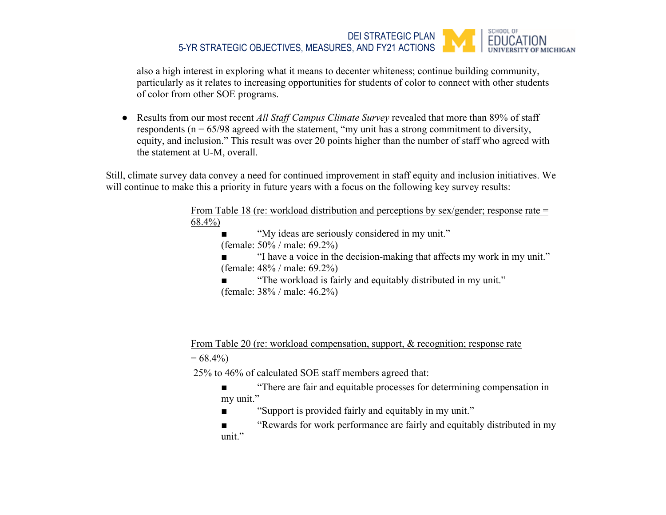#### SCHOOL OF DEI STRATEGIC PLAN **EDUCATION** 5-YR STRATEGIC OBJECTIVES, MEASURES, AND FY21 ACTIONS **FMICHIGAN**

also a high interest in exploring what it means to decenter whiteness; continue building community, particularly as it relates to increasing opportunities for students of color to connect with other students of color from other SOE programs.

● Results from our most recent *All Staff Campus Climate Survey* revealed that more than 89% of staff respondents ( $n = 65/98$  agreed with the statement, "my unit has a strong commitment to diversity, equity, and inclusion." This result was over 20 points higher than the number of staff who agreed with the statement at U-M, overall.

Still, climate survey data convey a need for continued improvement in staff equity and inclusion initiatives. We will continue to make this a priority in future years with a focus on the following key survey results:

> From Table 18 (re: workload distribution and perceptions by  $sex/gender$ ; response rate = 68.4%)

> > "My ideas are seriously considered in my unit."

(female: 50% / male: 69.2%)

"I have a voice in the decision-making that affects my work in my unit." (female: 48% / male: 69.2%)

"The workload is fairly and equitably distributed in my unit." (female: 38% / male: 46.2%)

# From Table 20 (re: workload compensation, support, & recognition; response rate

 $= 68.4\%$ 

25% to 46% of calculated SOE staff members agreed that:

- "There are fair and equitable processes for determining compensation in my unit."
- "Support is provided fairly and equitably in my unit."
- "Rewards for work performance are fairly and equitably distributed in my unit."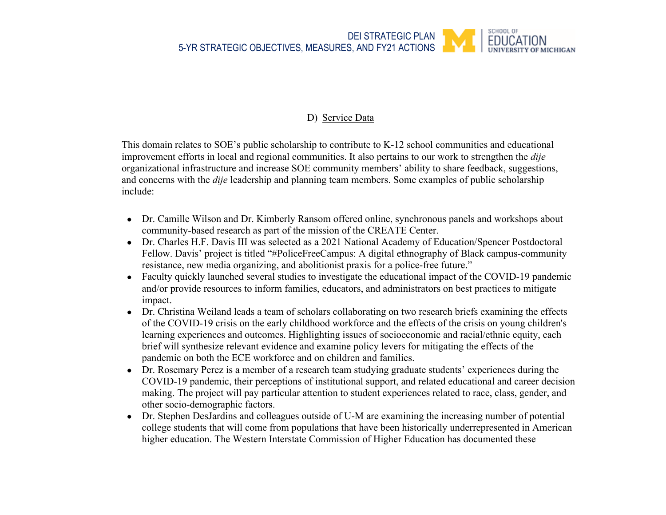# D) Service Data

This domain relates to SOE's public scholarship to contribute to K-12 school communities and educational improvement efforts in local and regional communities. It also pertains to our work to strengthen the *dije*  organizational infrastructure and increase SOE community members' ability to share feedback, suggestions, and concerns with the *dije* leadership and planning team members. Some examples of public scholarship include:

- Dr. Camille Wilson and Dr. Kimberly Ransom offered online, synchronous panels and workshops about community-based research as part of the mission of the CREATE Center.
- Dr. Charles H.F. Davis III was selected as a 2021 National Academy of Education/Spencer Postdoctoral Fellow. Davis' project is titled "#PoliceFreeCampus: A digital ethnography of Black campus-community resistance, new media organizing, and abolitionist praxis for a police-free future."
- Faculty quickly launched several studies to investigate the educational impact of the COVID-19 pandemic and/or provide resources to inform families, educators, and administrators on best practices to mitigate impact.
- Dr. Christina Weiland leads a team of scholars collaborating on two research briefs examining the effects of the COVID-19 crisis on the early childhood workforce and the effects of the crisis on young children's learning experiences and outcomes. Highlighting issues of socioeconomic and racial/ethnic equity, each brief will synthesize relevant evidence and examine policy levers for mitigating the effects of the pandemic on both the ECE workforce and on children and families.
- Dr. Rosemary Perez is a member of a research team studying graduate students' experiences during the COVID-19 pandemic, their perceptions of institutional support, and related educational and career decision making. The project will pay particular attention to student experiences related to race, class, gender, and other socio-demographic factors.
- Dr. Stephen DesJardins and colleagues outside of U-M are examining the increasing number of potential college students that will come from populations that have been historically underrepresented in American higher education. The Western Interstate Commission of Higher Education has documented these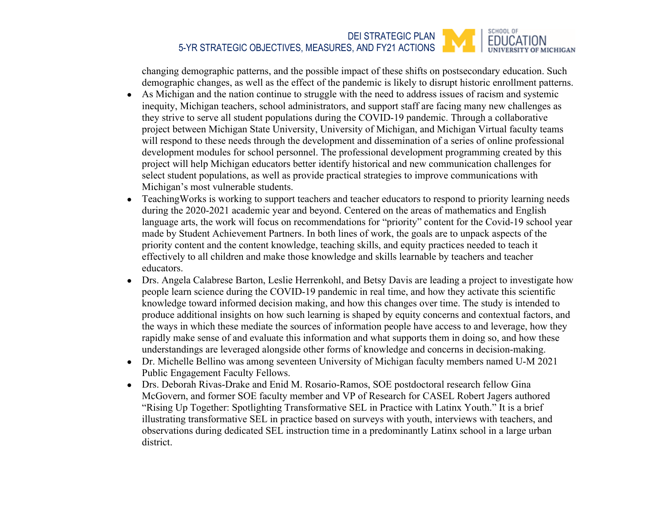#### SCHOOL OF DEI STRATEGIC PLAN EDUCATION 5-YR STRATEGIC OBJECTIVES, MEASURES, AND FY21 ACTIONS OF MICHIGAN

changing demographic patterns, and the possible impact of these shifts on postsecondary education. Such demographic changes, as well as the effect of the pandemic is likely to disrupt historic enrollment patterns.

- As Michigan and the nation continue to struggle with the need to address issues of racism and systemic inequity, Michigan teachers, school administrators, and support staff are facing many new challenges as they strive to serve all student populations during the COVID-19 pandemic. Through a collaborative project between Michigan State University, University of Michigan, and Michigan Virtual faculty teams will respond to these needs through the development and dissemination of a series of online professional development modules for school personnel. The professional development programming created by this project will help Michigan educators better identify historical and new communication challenges for select student populations, as well as provide practical strategies to improve communications with Michigan's most vulnerable students.
- Teaching Works is working to support teachers and teacher educators to respond to priority learning needs during the 2020-2021 academic year and beyond. Centered on the areas of mathematics and English language arts, the work will focus on recommendations for "priority" content for the Covid-19 school year made by Student Achievement Partners. In both lines of work, the goals are to unpack aspects of the priority content and the content knowledge, teaching skills, and equity practices needed to teach it effectively to all children and make those knowledge and skills learnable by teachers and teacher educators.
- Drs. Angela Calabrese Barton, Leslie Herrenkohl, and Betsy Davis are leading a project to investigate how people learn science during the COVID-19 pandemic in real time, and how they activate this scientific knowledge toward informed decision making, and how this changes over time. The study is intended to produce additional insights on how such learning is shaped by equity concerns and contextual factors, and the ways in which these mediate the sources of information people have access to and leverage, how they rapidly make sense of and evaluate this information and what supports them in doing so, and how these understandings are leveraged alongside other forms of knowledge and concerns in decision-making.
- Dr. Michelle Bellino was among seventeen University of Michigan faculty members named U-M 2021 Public Engagement Faculty Fellows.
- Drs. Deborah Rivas-Drake and Enid M. Rosario-Ramos, SOE postdoctoral research fellow Gina McGovern, and former SOE faculty member and VP of Research for CASEL Robert Jagers authored "Rising Up Together: Spotlighting Transformative SEL in Practice with Latinx Youth." It is a brief illustrating transformative SEL in practice based on surveys with youth, interviews with teachers, and observations during dedicated SEL instruction time in a predominantly Latinx school in a large urban district.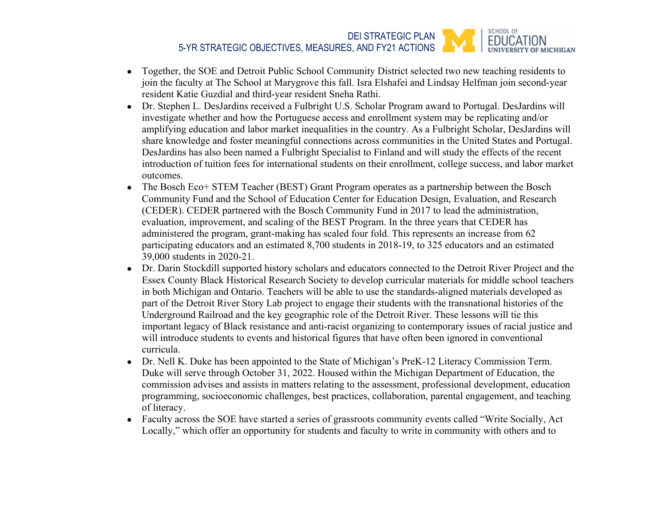#### SCHOOL OF DEI STRATEGIC PLAN **FDUCATION** 5-YR STRATEGIC OBJECTIVES, MEASURES, AND FY21 ACTIONS **DF MICHIGAN**

- Together, the SOE and Detroit Public School Community District selected two new teaching residents to join the faculty at The School at Marygrove this fall. Isra Elshafei and Lindsay Helfman join second-year resident Katie Guzdial and third-year resident Sneha Rathi.
- Dr. Stephen L. DesJardins received a Fulbright U.S. Scholar Program award to Portugal. DesJardins will investigate whether and how the Portuguese access and enrollment system may be replicating and/or amplifying education and labor market inequalities in the country. As a Fulbright Scholar, DesJardins will share knowledge and foster meaningful connections across communities in the United States and Portugal. DesJardins has also been named a Fulbright Specialist to Finland and will study the effects of the recent introduction of tuition fees for international students on their enrollment, college success, and labor market outcomes.
- The Bosch Eco+ STEM Teacher (BEST) Grant Program operates as a partnership between the Bosch Community Fund and the School of Education Center for Education Design, Evaluation, and Research (CEDER). CEDER partnered with the Bosch Community Fund in 2017 to lead the administration, evaluation, improvement, and scaling of the BEST Program. In the three years that CEDER has administered the program, grant-making has scaled four fold. This represents an increase from 62 participating educators and an estimated 8,700 students in 2018-19, to 325 educators and an estimated 39,000 students in 2020-21.
- Dr. Darin Stockdill supported history scholars and educators connected to the Detroit River Project and the Essex County Black Historical Research Society to develop curricular materials for middle school teachers in both Michigan and Ontario. Teachers will be able to use the standards-aligned materials developed as part of the Detroit River Story Lab project to engage their students with the transnational histories of the Underground Railroad and the key geographic role of the Detroit River. These lessons will tie this important legacy of Black resistance and anti-racist organizing to contemporary issues of racial justice and will introduce students to events and historical figures that have often been ignored in conventional curricula.
- Dr. Nell K. Duke has been appointed to the State of Michigan's PreK-12 Literacy Commission Term. Duke will serve through October 31, 2022. Housed within the Michigan Department of Education, the commission advises and assists in matters relating to the assessment, professional development, education programming, socioeconomic challenges, best practices, collaboration, parental engagement, and teaching of literacy.
- Faculty across the SOE have started a series of grassroots community events called "Write Socially, Act" Locally," which offer an opportunity for students and faculty to write in community with others and to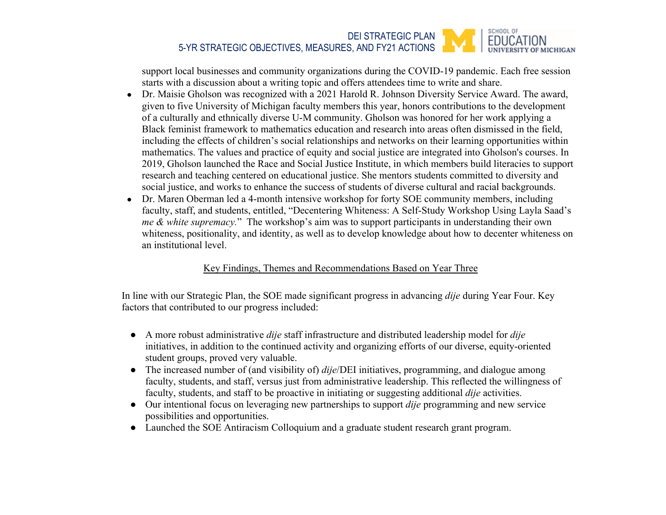#### SCHOOL OF DEI STRATEGIC PLAN **FDUCATION** 5-YR STRATEGIC OBJECTIVES, MEASURES, AND FY21 ACTIONS **FMICHIGAN**

support local businesses and community organizations during the COVID-19 pandemic. Each free session starts with a discussion about a writing topic and offers attendees time to write and share.

- Dr. Maisie Gholson was recognized with a 2021 Harold R. Johnson Diversity Service Award. The award, given to five University of Michigan faculty members this year, honors contributions to the development of a culturally and ethnically diverse U-M community. Gholson was honored for her work applying a Black feminist framework to mathematics education and research into areas often dismissed in the field, including the effects of children's social relationships and networks on their learning opportunities within mathematics. The values and practice of equity and social justice are integrated into Gholson's courses. In 2019, Gholson launched the Race and Social Justice Institute, in which members build literacies to support research and teaching centered on educational justice. She mentors students committed to diversity and social justice, and works to enhance the success of students of diverse cultural and racial backgrounds.
- Dr. Maren Oberman led a 4-month intensive workshop for forty SOE community members, including faculty, staff, and students, entitled, "Decentering Whiteness: A Self-Study Workshop Using Layla Saad's *me & white supremacy.*" The workshop's aim was to support participants in understanding their own whiteness, positionality, and identity, as well as to develop knowledge about how to decenter whiteness on an institutional level.

## Key Findings, Themes and Recommendations Based on Year Three

In line with our Strategic Plan, the SOE made significant progress in advancing *dije* during Year Four. Key factors that contributed to our progress included:

- A more robust administrative *dije* staff infrastructure and distributed leadership model for *dije*  initiatives, in addition to the continued activity and organizing efforts of our diverse, equity-oriented student groups, proved very valuable.
- The increased number of (and visibility of) *dije*/DEI initiatives, programming, and dialogue among faculty, students, and staff, versus just from administrative leadership. This reflected the willingness of faculty, students, and staff to be proactive in initiating or suggesting additional *dije* activities.
- Our intentional focus on leveraging new partnerships to support *dije* programming and new service possibilities and opportunities.
- Launched the SOE Antiracism Colloquium and a graduate student research grant program.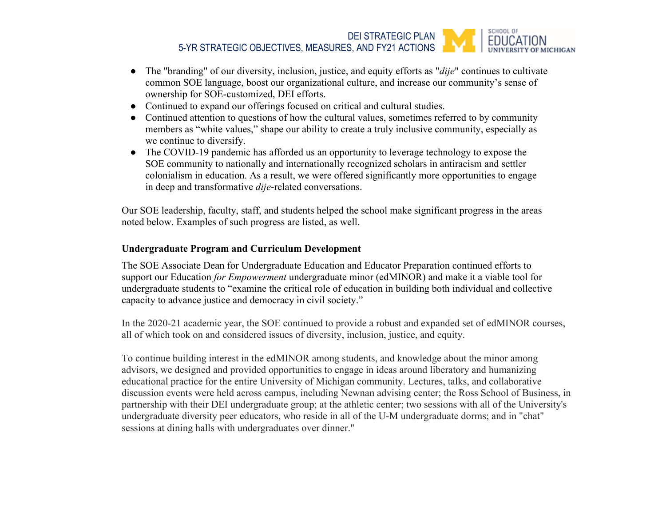SCHOOL OF DEI STRATEGIC PLAN **EDUCATION** 5-YR STRATEGIC OBJECTIVES, MEASURES, AND FY21 ACTIONS

- The "branding" of our diversity, inclusion, justice, and equity efforts as "*dije*" continues to cultivate common SOE language, boost our organizational culture, and increase our community's sense of ownership for SOE-customized, DEI efforts.
- Continued to expand our offerings focused on critical and cultural studies.
- Continued attention to questions of how the cultural values, sometimes referred to by community members as "white values," shape our ability to create a truly inclusive community, especially as we continue to diversify.
- The COVID-19 pandemic has afforded us an opportunity to leverage technology to expose the SOE community to nationally and internationally recognized scholars in antiracism and settler colonialism in education. As a result, we were offered significantly more opportunities to engage in deep and transformative *dije*-related conversations.

Our SOE leadership, faculty, staff, and students helped the school make significant progress in the areas noted below. Examples of such progress are listed, as well.

## **Undergraduate Program and Curriculum Development**

The SOE Associate Dean for Undergraduate Education and Educator Preparation continued efforts to support our Education *for Empowerment* undergraduate minor (edMINOR) and make it a viable tool for undergraduate students to "examine the critical role of education in building both individual and collective capacity to advance justice and democracy in civil society."

In the 2020-21 academic year, the SOE continued to provide a robust and expanded set of edMINOR courses, all of which took on and considered issues of diversity, inclusion, justice, and equity.

To continue building interest in the edMINOR among students, and knowledge about the minor among advisors, we designed and provided opportunities to engage in ideas around liberatory and humanizing educational practice for the entire University of Michigan community. Lectures, talks, and collaborative discussion events were held across campus, including Newnan advising center; the Ross School of Business, in partnership with their DEI undergraduate group; at the athletic center; two sessions with all of the University's undergraduate diversity peer educators, who reside in all of the U-M undergraduate dorms; and in "chat" sessions at dining halls with undergraduates over dinner."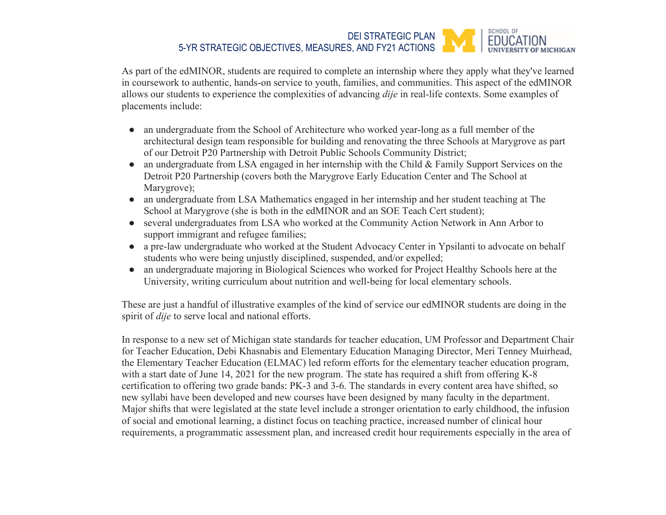#### SCHOOL OF DEI STRATEGIC PLAN **FDUCATION** 5-YR STRATEGIC OBJECTIVES, MEASURES, AND FY21 ACTIONS **MICHIGAN**

As part of the edMINOR, students are required to complete an internship where they apply what they've learned in coursework to authentic, hands-on service to youth, families, and communities. This aspect of the edMINOR allows our students to experience the complexities of advancing *dije* in real-life contexts. Some examples of placements include:

- an undergraduate from the School of Architecture who worked year-long as a full member of the architectural design team responsible for building and renovating the three Schools at Marygrove as part of our Detroit P20 Partnership with Detroit Public Schools Community District;
- an undergraduate from LSA engaged in her internship with the Child & Family Support Services on the Detroit P20 Partnership (covers both the Marygrove Early Education Center and The School at Marygrove);
- an undergraduate from LSA Mathematics engaged in her internship and her student teaching at The School at Marygrove (she is both in the edMINOR and an SOE Teach Cert student);
- several undergraduates from LSA who worked at the Community Action Network in Ann Arbor to support immigrant and refugee families;
- a pre-law undergraduate who worked at the Student Advocacy Center in Ypsilanti to advocate on behalf students who were being unjustly disciplined, suspended, and/or expelled;
- an undergraduate majoring in Biological Sciences who worked for Project Healthy Schools here at the University, writing curriculum about nutrition and well-being for local elementary schools.

These are just a handful of illustrative examples of the kind of service our edMINOR students are doing in the spirit of *dije* to serve local and national efforts.

In response to a new set of Michigan state standards for teacher education, UM Professor and Department Chair for Teacher Education, Debi Khasnabis and Elementary Education Managing Director, Meri Tenney Muirhead, the Elementary Teacher Education (ELMAC) led reform efforts for the elementary teacher education program, with a start date of June 14, 2021 for the new program. The state has required a shift from offering K-8 certification to offering two grade bands: PK-3 and 3-6. The standards in every content area have shifted, so new syllabi have been developed and new courses have been designed by many faculty in the department. Major shifts that were legislated at the state level include a stronger orientation to early childhood, the infusion of social and emotional learning, a distinct focus on teaching practice, increased number of clinical hour requirements, a programmatic assessment plan, and increased credit hour requirements especially in the area of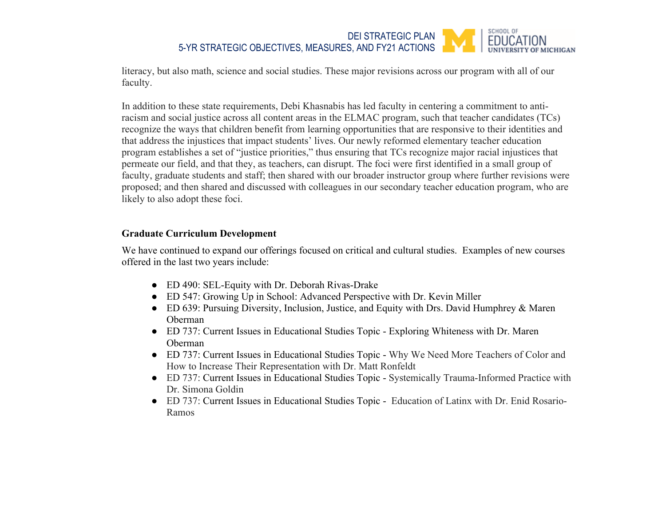#### SCHOOL OF DEI STRATEGIC PLAN **FDUCATION** 5-YR STRATEGIC OBJECTIVES, MEASURES, AND FY21 ACTIONS

literacy, but also math, science and social studies. These major revisions across our program with all of our faculty.

In addition to these state requirements, Debi Khasnabis has led faculty in centering a commitment to antiracism and social justice across all content areas in the ELMAC program, such that teacher candidates (TCs) recognize the ways that children benefit from learning opportunities that are responsive to their identities and that address the injustices that impact students' lives. Our newly reformed elementary teacher education program establishes a set of "justice priorities," thus ensuring that TCs recognize major racial injustices that permeate our field, and that they, as teachers, can disrupt. The foci were first identified in a small group of faculty, graduate students and staff; then shared with our broader instructor group where further revisions were proposed; and then shared and discussed with colleagues in our secondary teacher education program, who are likely to also adopt these foci.

### **Graduate Curriculum Development**

We have continued to expand our offerings focused on critical and cultural studies. Examples of new courses offered in the last two years include:

- ED 490: SEL-Equity with Dr. Deborah Rivas-Drake
- ED 547: Growing Up in School: Advanced Perspective with Dr. Kevin Miller
- ED 639: Pursuing Diversity, Inclusion, Justice, and Equity with Drs. David Humphrey & Maren Oberman
- ED 737: Current Issues in Educational Studies Topic Exploring Whiteness with Dr. Maren Oberman
- ED 737: Current Issues in Educational Studies Topic Why We Need More Teachers of Color and How to Increase Their Representation with Dr. Matt Ronfeldt
- ED 737: Current Issues in Educational Studies Topic Systemically Trauma-Informed Practice with Dr. Simona Goldin
- ED 737: Current Issues in Educational Studies Topic Education of Latinx with Dr. Enid Rosario-Ramos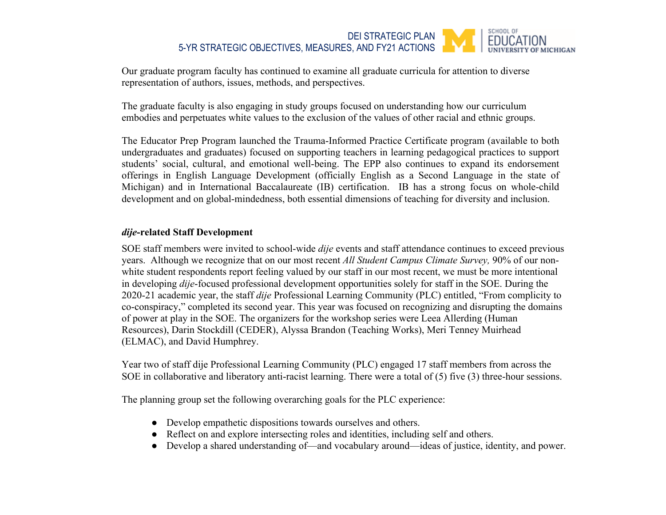#### SCHOOL OF DEI STRATEGIC PLAN **EDUCATION** 5-YR STRATEGIC OBJECTIVES, MEASURES, AND FY21 ACTIONS **MICHIGAN**

Our graduate program faculty has continued to examine all graduate curricula for attention to diverse representation of authors, issues, methods, and perspectives.

The graduate faculty is also engaging in study groups focused on understanding how our curriculum embodies and perpetuates white values to the exclusion of the values of other racial and ethnic groups.

The Educator Prep Program launched the Trauma-Informed Practice Certificate program (available to both undergraduates and graduates) focused on supporting teachers in learning pedagogical practices to support students' social, cultural, and emotional well-being. The EPP also continues to expand its endorsement offerings in English Language Development (officially English as a Second Language in the state of Michigan) and in International Baccalaureate (IB) certification. IB has a strong focus on whole-child development and on global-mindedness, both essential dimensions of teaching for diversity and inclusion.

### *dije***-related Staff Development**

SOE staff members were invited to school-wide *dije* events and staff attendance continues to exceed previous years. Although we recognize that on our most recent *All Student Campus Climate Survey,* 90% of our nonwhite student respondents report feeling valued by our staff in our most recent, we must be more intentional in developing *dije*-focused professional development opportunities solely for staff in the SOE. During the 2020-21 academic year, the staff *dije* Professional Learning Community (PLC) entitled, "From complicity to co-conspiracy," completed its second year. This year was focused on recognizing and disrupting the domains of power at play in the SOE. The organizers for the workshop series were Leea Allerding (Human Resources), Darin Stockdill (CEDER), Alyssa Brandon (Teaching Works), Meri Tenney Muirhead (ELMAC), and David Humphrey.

Year two of staff dije Professional Learning Community (PLC) engaged 17 staff members from across the SOE in collaborative and liberatory anti-racist learning. There were a total of (5) five (3) three-hour sessions.

The planning group set the following overarching goals for the PLC experience:

- Develop empathetic dispositions towards ourselves and others.
- Reflect on and explore intersecting roles and identities, including self and others.
- Develop a shared understanding of—and vocabulary around—ideas of justice, identity, and power.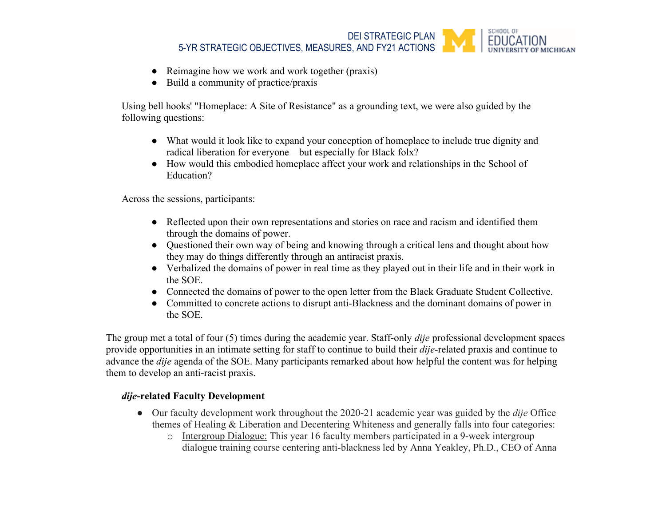

- Reimagine how we work and work together (praxis)
- Build a community of practice/praxis

Using bell hooks' "Homeplace: A Site of Resistance" as a grounding text, we were also guided by the following questions:

- What would it look like to expand your conception of homeplace to include true dignity and radical liberation for everyone—but especially for Black folx?
- How would this embodied homeplace affect your work and relationships in the School of Education?

Across the sessions, participants:

- Reflected upon their own representations and stories on race and racism and identified them through the domains of power.
- Questioned their own way of being and knowing through a critical lens and thought about how they may do things differently through an antiracist praxis.
- Verbalized the domains of power in real time as they played out in their life and in their work in the SOE.
- Connected the domains of power to the open letter from the Black Graduate Student Collective.
- Committed to concrete actions to disrupt anti-Blackness and the dominant domains of power in the SOE.

The group met a total of four (5) times during the academic year. Staff-only *dije* professional development spaces provide opportunities in an intimate setting for staff to continue to build their *dije*-related praxis and continue to advance the *dije* agenda of the SOE. Many participants remarked about how helpful the content was for helping them to develop an anti-racist praxis.

## *dije***-related Faculty Development**

- Our faculty development work throughout the 2020-21 academic year was guided by the *dije* Office themes of Healing & Liberation and Decentering Whiteness and generally falls into four categories:
	- o Intergroup Dialogue: This year 16 faculty members participated in a 9-week intergroup dialogue training course centering anti-blackness led by Anna Yeakley, Ph.D., CEO of Anna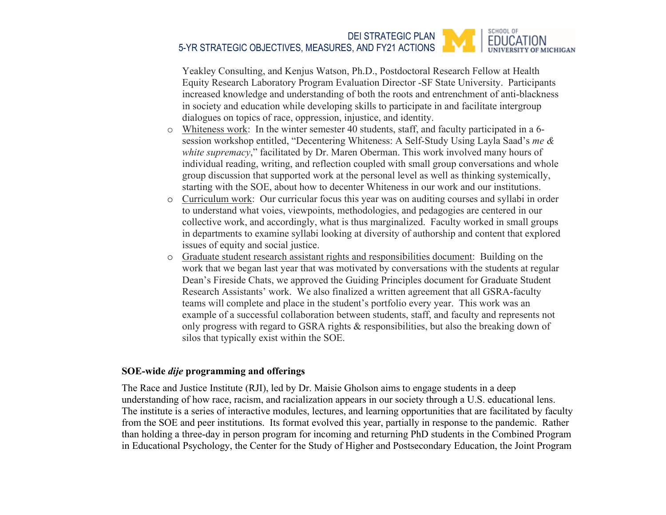#### SCHOOL OF DEI STRATEGIC PLAN **EDUCATION** 5-YR STRATEGIC OBJECTIVES, MEASURES, AND FY21 ACTIONS OF MICHIGAN

Yeakley Consulting, and Kenjus Watson, Ph.D., Postdoctoral Research Fellow at Health Equity Research Laboratory Program Evaluation Director -SF State University. Participants increased knowledge and understanding of both the roots and entrenchment of anti-blackness in society and education while developing skills to participate in and facilitate intergroup dialogues on topics of race, oppression, injustice, and identity.

- o Whiteness work: In the winter semester 40 students, staff, and faculty participated in a 6 session workshop entitled, "Decentering Whiteness: A Self-Study Using Layla Saad's *me & white supremacy*," facilitated by Dr. Maren Oberman. This work involved many hours of individual reading, writing, and reflection coupled with small group conversations and whole group discussion that supported work at the personal level as well as thinking systemically, starting with the SOE, about how to decenter Whiteness in our work and our institutions.
- o Curriculum work: Our curricular focus this year was on auditing courses and syllabi in order to understand what voies, viewpoints, methodologies, and pedagogies are centered in our collective work, and accordingly, what is thus marginalized. Faculty worked in small groups in departments to examine syllabi looking at diversity of authorship and content that explored issues of equity and social justice.
- o Graduate student research assistant rights and responsibilities document: Building on the work that we began last year that was motivated by conversations with the students at regular Dean's Fireside Chats, we approved the Guiding Principles document for Graduate Student Research Assistants' work. We also finalized a written agreement that all GSRA-faculty teams will complete and place in the student's portfolio every year. This work was an example of a successful collaboration between students, staff, and faculty and represents not only progress with regard to GSRA rights & responsibilities, but also the breaking down of silos that typically exist within the SOE.

### **SOE-wide** *dije* **programming and offerings**

The Race and Justice Institute (RJI), led by Dr. Maisie Gholson aims to engage students in a deep understanding of how race, racism, and racialization appears in our society through a U.S. educational lens. The institute is a series of interactive modules, lectures, and learning opportunities that are facilitated by faculty from the SOE and peer institutions. Its format evolved this year, partially in response to the pandemic. Rather than holding a three-day in person program for incoming and returning PhD students in the Combined Program in Educational Psychology, the Center for the Study of Higher and Postsecondary Education, the Joint Program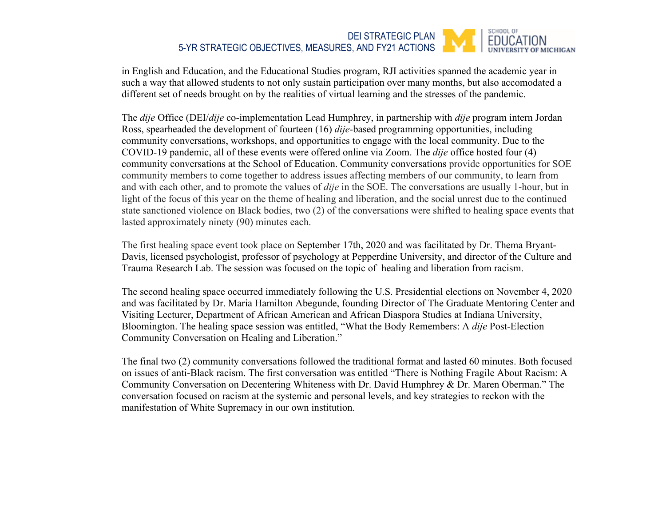#### SCHOOL OF DEI STRATEGIC PLAN **EDUCATION** 5-YR STRATEGIC OBJECTIVES, MEASURES, AND FY21 ACTIONS **F MICHIGAN**

in English and Education, and the Educational Studies program, RJI activities spanned the academic year in such a way that allowed students to not only sustain participation over many months, but also accomodated a different set of needs brought on by the realities of virtual learning and the stresses of the pandemic.

The *dije* Office (DEI/*dije* co-implementation Lead Humphrey, in partnership with *dije* program intern Jordan Ross, spearheaded the development of fourteen (16) *dije*-based programming opportunities, including community conversations, workshops, and opportunities to engage with the local community. Due to the COVID-19 pandemic, all of these events were offered online via Zoom. The *dije* office hosted four (4) community conversations at the School of Education. Community conversations provide opportunities for SOE community members to come together to address issues affecting members of our community, to learn from and with each other, and to promote the values of *dije* in the SOE. The conversations are usually 1-hour, but in light of the focus of this year on the theme of healing and liberation, and the social unrest due to the continued state sanctioned violence on Black bodies, two (2) of the conversations were shifted to healing space events that lasted approximately ninety (90) minutes each.

The first healing space event took place on September 17th, 2020 and was facilitated by Dr. Thema Bryant-Davis, licensed psychologist, professor of psychology at Pepperdine University, and director of the Culture and Trauma Research Lab. The session was focused on the topic of healing and liberation from racism.

The second healing space occurred immediately following the U.S. Presidential elections on November 4, 2020 and was facilitated by Dr. Maria Hamilton Abegunde, founding Director of The Graduate Mentoring Center and Visiting Lecturer, Department of African American and African Diaspora Studies at Indiana University, Bloomington. The healing space session was entitled, "What the Body Remembers: A *dije* Post-Election Community Conversation on Healing and Liberation."

The final two (2) community conversations followed the traditional format and lasted 60 minutes. Both focused on issues of anti-Black racism. The first conversation was entitled "There is Nothing Fragile About Racism: A Community Conversation on Decentering Whiteness with Dr. David Humphrey & Dr. Maren Oberman." The conversation focused on racism at the systemic and personal levels, and key strategies to reckon with the manifestation of White Supremacy in our own institution.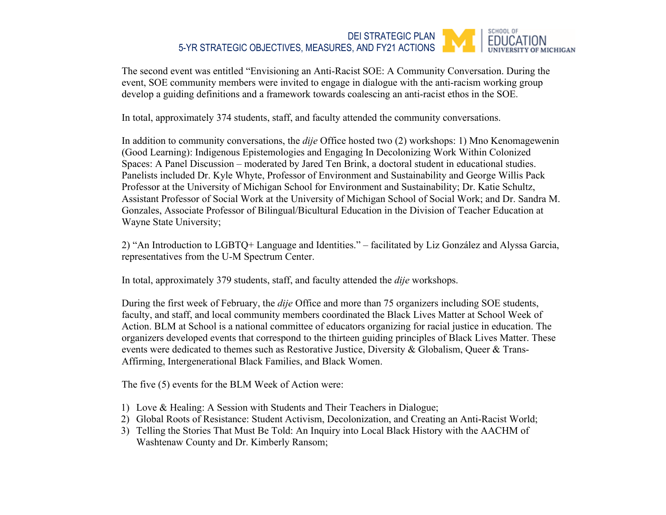#### SCHOOL OF DEI STRATEGIC PLAN **FDUCATION** 5-YR STRATEGIC OBJECTIVES, MEASURES, AND FY21 ACTIONS **F MICHIGAN**

The second event was entitled "Envisioning an Anti-Racist SOE: A Community Conversation. During the event, SOE community members were invited to engage in dialogue with the anti-racism working group develop a guiding definitions and a framework towards coalescing an anti-racist ethos in the SOE.

In total, approximately 374 students, staff, and faculty attended the community conversations.

In addition to community conversations, the *dije* Office hosted two (2) workshops: 1) Mno Kenomagewenin (Good Learning): Indigenous Epistemologies and Engaging In Decolonizing Work Within Colonized Spaces: A Panel Discussion – moderated by Jared Ten Brink, a doctoral student in educational studies. Panelists included Dr. Kyle Whyte, Professor of Environment and Sustainability and George Willis Pack Professor at the University of Michigan School for Environment and Sustainability; Dr. Katie Schultz, Assistant Professor of Social Work at the University of Michigan School of Social Work; and Dr. Sandra M. Gonzales, Associate Professor of Bilingual/Bicultural Education in the Division of Teacher Education at Wayne State University;

2) "An Introduction to LGBTQ+ Language and Identities." – facilitated by Liz González and Alyssa Garcia, representatives from the U-M Spectrum Center.

In total, approximately 379 students, staff, and faculty attended the *dije* workshops.

During the first week of February, the *dije* Office and more than 75 organizers including SOE students, faculty, and staff, and local community members coordinated the Black Lives Matter at School Week of Action. BLM at School is a national committee of educators organizing for racial justice in education. The organizers developed events that correspond to the thirteen guiding principles of Black Lives Matter. These events were dedicated to themes such as Restorative Justice, Diversity & Globalism, Queer & Trans-Affirming, Intergenerational Black Families, and Black Women.

The five (5) events for the BLM Week of Action were:

- 1) Love & Healing: A Session with Students and Their Teachers in Dialogue;
- 2) Global Roots of Resistance: Student Activism, Decolonization, and Creating an Anti-Racist World;
- 3) Telling the Stories That Must Be Told: An Inquiry into Local Black History with the AACHM of Washtenaw County and Dr. Kimberly Ransom;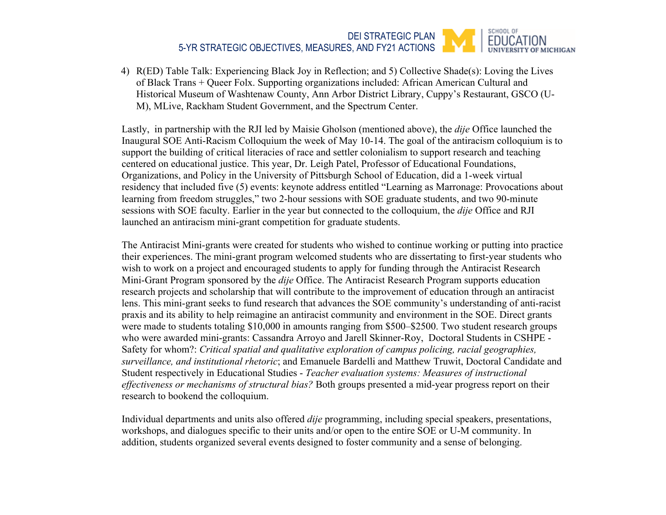#### SCHOOL OF DEI STRATEGIC PLAN EDUCATION 5-YR STRATEGIC OBJECTIVES, MEASURES, AND FY21 ACTIONS OF MICHIGAN

4) R(ED) Table Talk: Experiencing Black Joy in Reflection; and 5) Collective Shade(s): Loving the Lives of Black Trans + Queer Folx. Supporting organizations included: African American Cultural and Historical Museum of Washtenaw County, Ann Arbor District Library, Cuppy's Restaurant, GSCO (U-M), MLive, Rackham Student Government, and the Spectrum Center.

Lastly, in partnership with the RJI led by Maisie Gholson (mentioned above), the *dije* Office launched the Inaugural SOE Anti-Racism Colloquium the week of May 10-14. The goal of the antiracism colloquium is to support the building of critical literacies of race and settler colonialism to support research and teaching centered on educational justice. This year, Dr. Leigh Patel, Professor of Educational Foundations, Organizations, and Policy in the University of Pittsburgh School of Education, did a 1-week virtual residency that included five (5) events: keynote address entitled "Learning as Marronage: Provocations about learning from freedom struggles," two 2-hour sessions with SOE graduate students, and two 90-minute sessions with SOE faculty. Earlier in the year but connected to the colloquium, the *dije* Office and RJI launched an antiracism mini-grant competition for graduate students.

The Antiracist Mini-grants were created for students who wished to continue working or putting into practice their experiences. The mini-grant program welcomed students who are dissertating to first-year students who wish to work on a project and encouraged students to apply for funding through the Antiracist Research Mini-Grant Program sponsored by the *dije* Office. The Antiracist Research Program supports education research projects and scholarship that will contribute to the improvement of education through an antiracist lens. This mini-grant seeks to fund research that advances the SOE community's understanding of anti-racist praxis and its ability to help reimagine an antiracist community and environment in the SOE. Direct grants were made to students totaling \$10,000 in amounts ranging from \$500–\$2500. Two student research groups who were awarded mini-grants: Cassandra Arroyo and Jarell Skinner-Roy, Doctoral Students in CSHPE - Safety for whom?: *Critical spatial and qualitative exploration of campus policing, racial geographies, surveillance, and institutional rhetoric*; and Emanuele Bardelli and Matthew Truwit, Doctoral Candidate and Student respectively in Educational Studies - *Teacher evaluation systems: Measures of instructional effectiveness or mechanisms of structural bias?* Both groups presented a mid-year progress report on their research to bookend the colloquium.

Individual departments and units also offered *dije* programming, including special speakers, presentations, workshops, and dialogues specific to their units and/or open to the entire SOE or U-M community. In addition, students organized several events designed to foster community and a sense of belonging.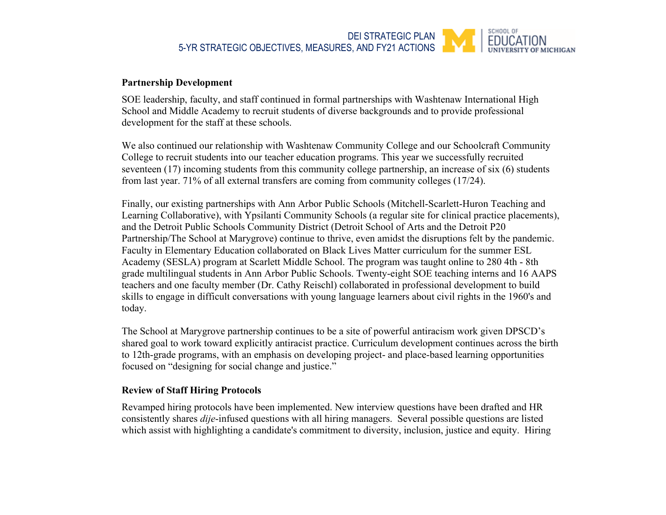

### **Partnership Development**

SOE leadership, faculty, and staff continued in formal partnerships with Washtenaw International High School and Middle Academy to recruit students of diverse backgrounds and to provide professional development for the staff at these schools.

We also continued our relationship with Washtenaw Community College and our Schoolcraft Community College to recruit students into our teacher education programs. This year we successfully recruited seventeen (17) incoming students from this community college partnership, an increase of six (6) students from last year. 71% of all external transfers are coming from community colleges (17/24).

Finally, our existing partnerships with Ann Arbor Public Schools (Mitchell-Scarlett-Huron Teaching and Learning Collaborative), with Ypsilanti Community Schools (a regular site for clinical practice placements), and the Detroit Public Schools Community District (Detroit School of Arts and the Detroit P20 Partnership/The School at Marygrove) continue to thrive, even amidst the disruptions felt by the pandemic. Faculty in Elementary Education collaborated on Black Lives Matter curriculum for the summer ESL Academy (SESLA) program at Scarlett Middle School. The program was taught online to 280 4th - 8th grade multilingual students in Ann Arbor Public Schools. Twenty-eight SOE teaching interns and 16 AAPS teachers and one faculty member (Dr. Cathy Reischl) collaborated in professional development to build skills to engage in difficult conversations with young language learners about civil rights in the 1960's and today.

The School at Marygrove partnership continues to be a site of powerful antiracism work given DPSCD's shared goal to work toward explicitly antiracist practice. Curriculum development continues across the birth to 12th-grade programs, with an emphasis on developing project- and place-based learning opportunities focused on "designing for social change and justice."

### **Review of Staff Hiring Protocols**

Revamped hiring protocols have been implemented. New interview questions have been drafted and HR consistently shares *dije*-infused questions with all hiring managers. Several possible questions are listed which assist with highlighting a candidate's commitment to diversity, inclusion, justice and equity. Hiring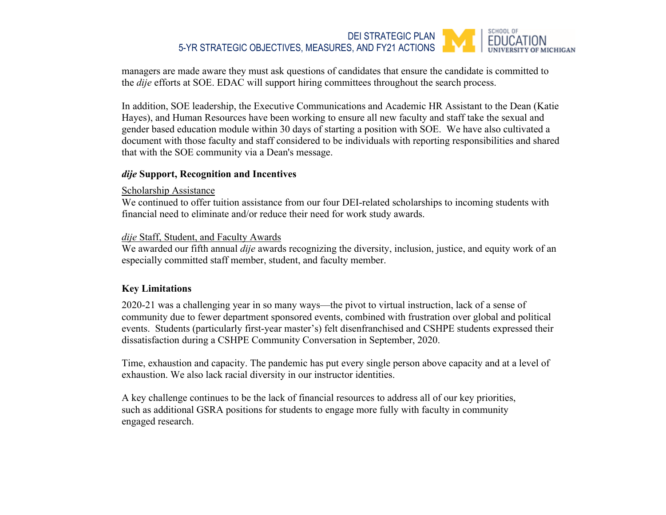#### SCHOOL OF DEI STRATEGIC PLAN **FDUCATION** 5-YR STRATEGIC OBJECTIVES, MEASURES, AND FY21 ACTIONS

managers are made aware they must ask questions of candidates that ensure the candidate is committed to the *dije* efforts at SOE. EDAC will support hiring committees throughout the search process.

In addition, SOE leadership, the Executive Communications and Academic HR Assistant to the Dean (Katie Hayes), and Human Resources have been working to ensure all new faculty and staff take the sexual and gender based education module within 30 days of starting a position with SOE. We have also cultivated a document with those faculty and staff considered to be individuals with reporting responsibilities and shared that with the SOE community via a Dean's message.

### *dije* **Support, Recognition and Incentives**

### Scholarship Assistance

We continued to offer tuition assistance from our four DEI-related scholarships to incoming students with financial need to eliminate and/or reduce their need for work study awards.

### *dije* Staff, Student, and Faculty Awards

We awarded our fifth annual *dije* awards recognizing the diversity, inclusion, justice, and equity work of an especially committed staff member, student, and faculty member.

## **Key Limitations**

2020-21 was a challenging year in so many ways—the pivot to virtual instruction, lack of a sense of community due to fewer department sponsored events, combined with frustration over global and political events. Students (particularly first-year master's) felt disenfranchised and CSHPE students expressed their dissatisfaction during a CSHPE Community Conversation in September, 2020.

Time, exhaustion and capacity. The pandemic has put every single person above capacity and at a level of exhaustion. We also lack racial diversity in our instructor identities.

A key challenge continues to be the lack of financial resources to address all of our key priorities, such as additional GSRA positions for students to engage more fully with faculty in community engaged research.